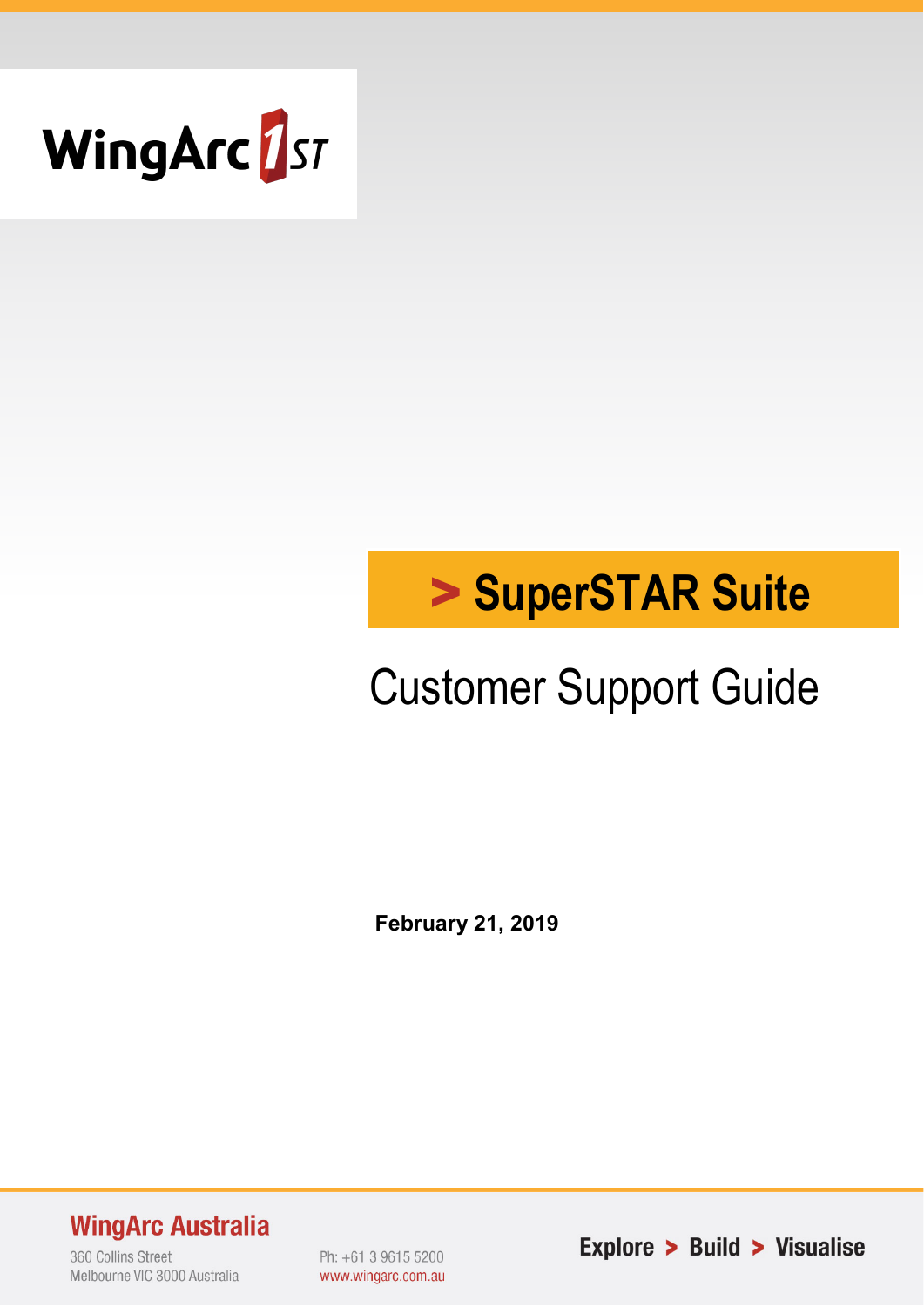

# > **SuperSTAR Suite**

## Customer Support Guide

**February 21, 2019**

**WingArc Australia** 

360 Collins Street Melbourne VIC 3000 Australia Ph: +61 3 9615 5200 www.wingarc.com.au Explore > Build > Visualise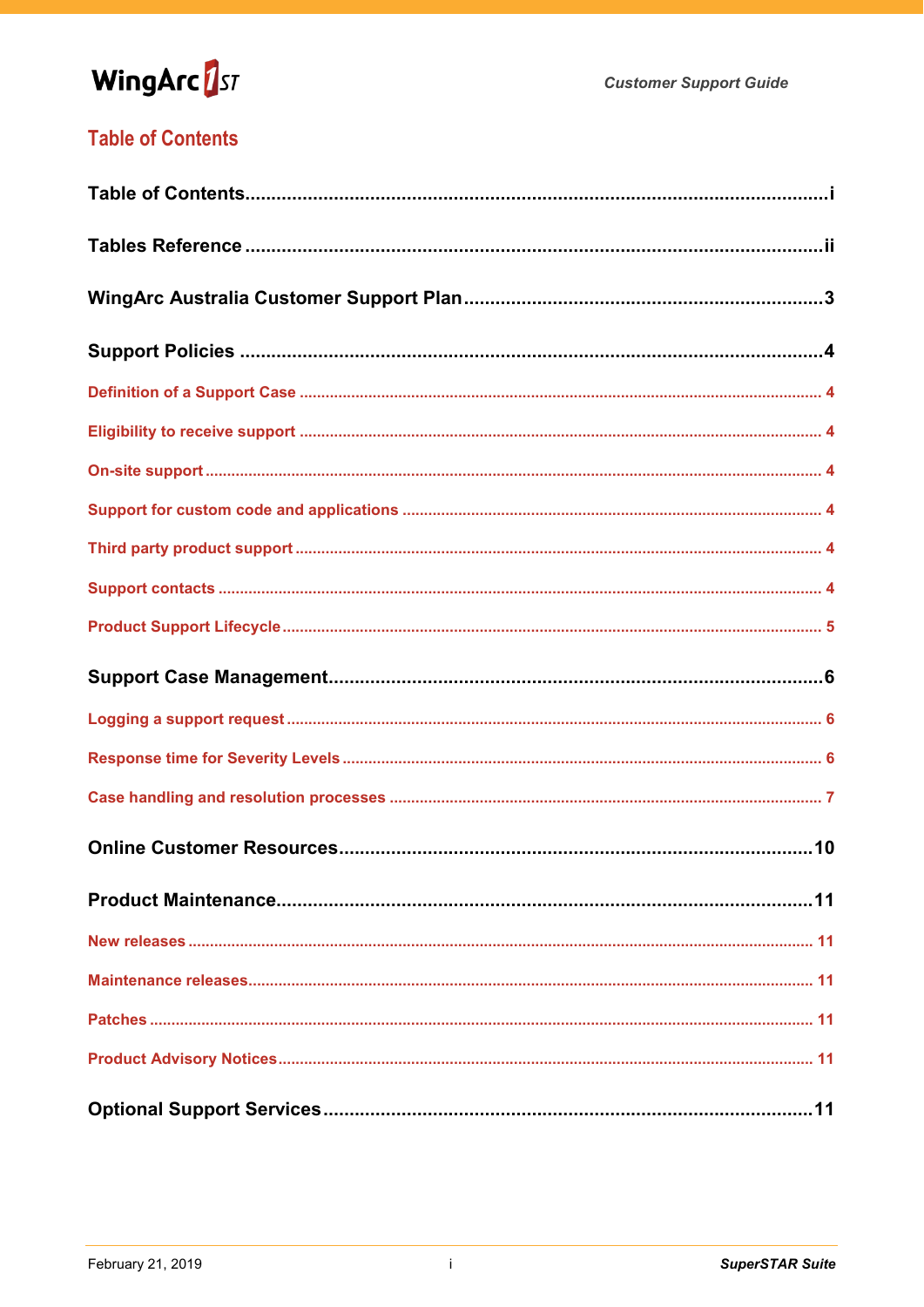## WingArc<sup>1</sup>st

## **Table of Contents**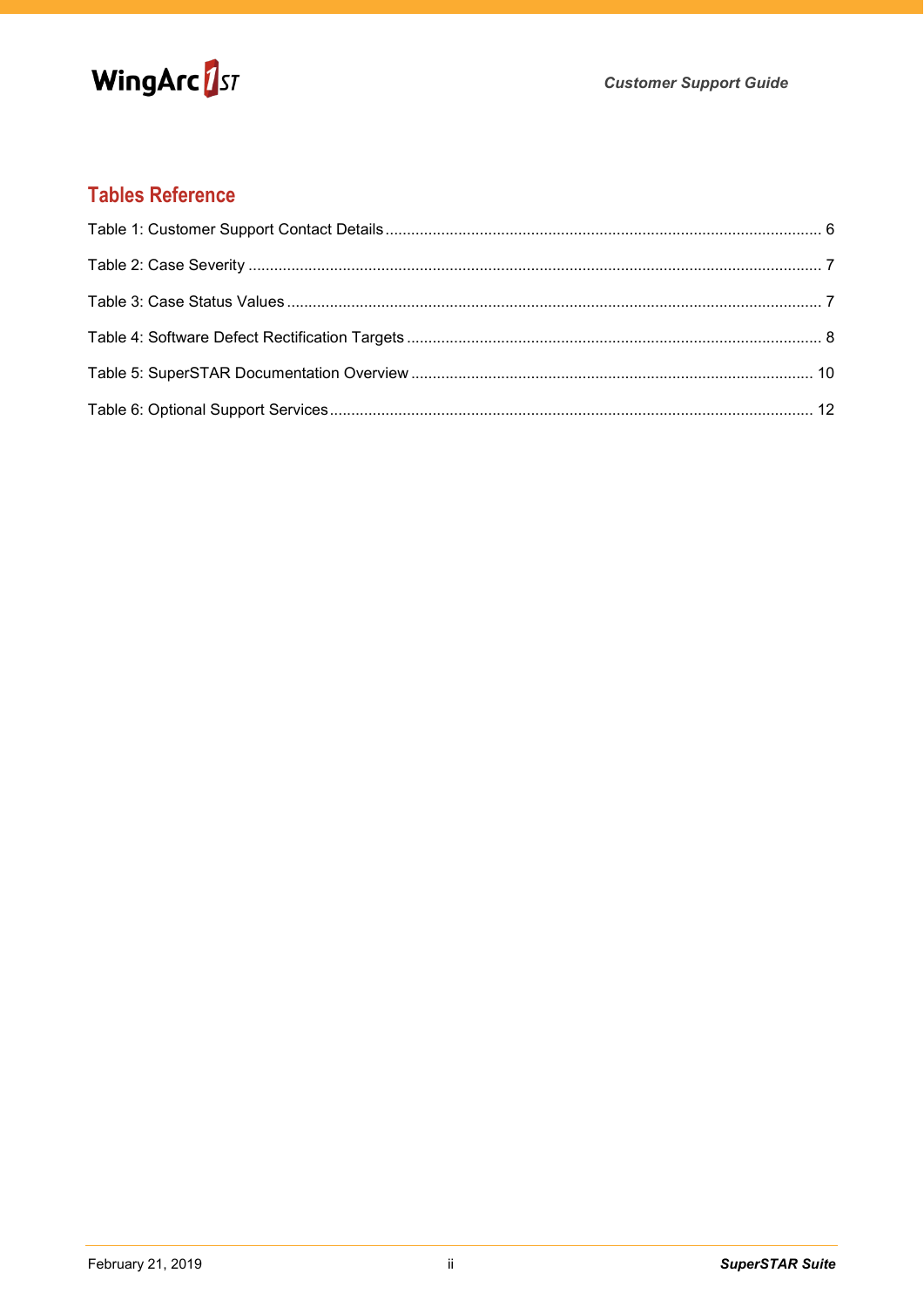

## **Tables Reference**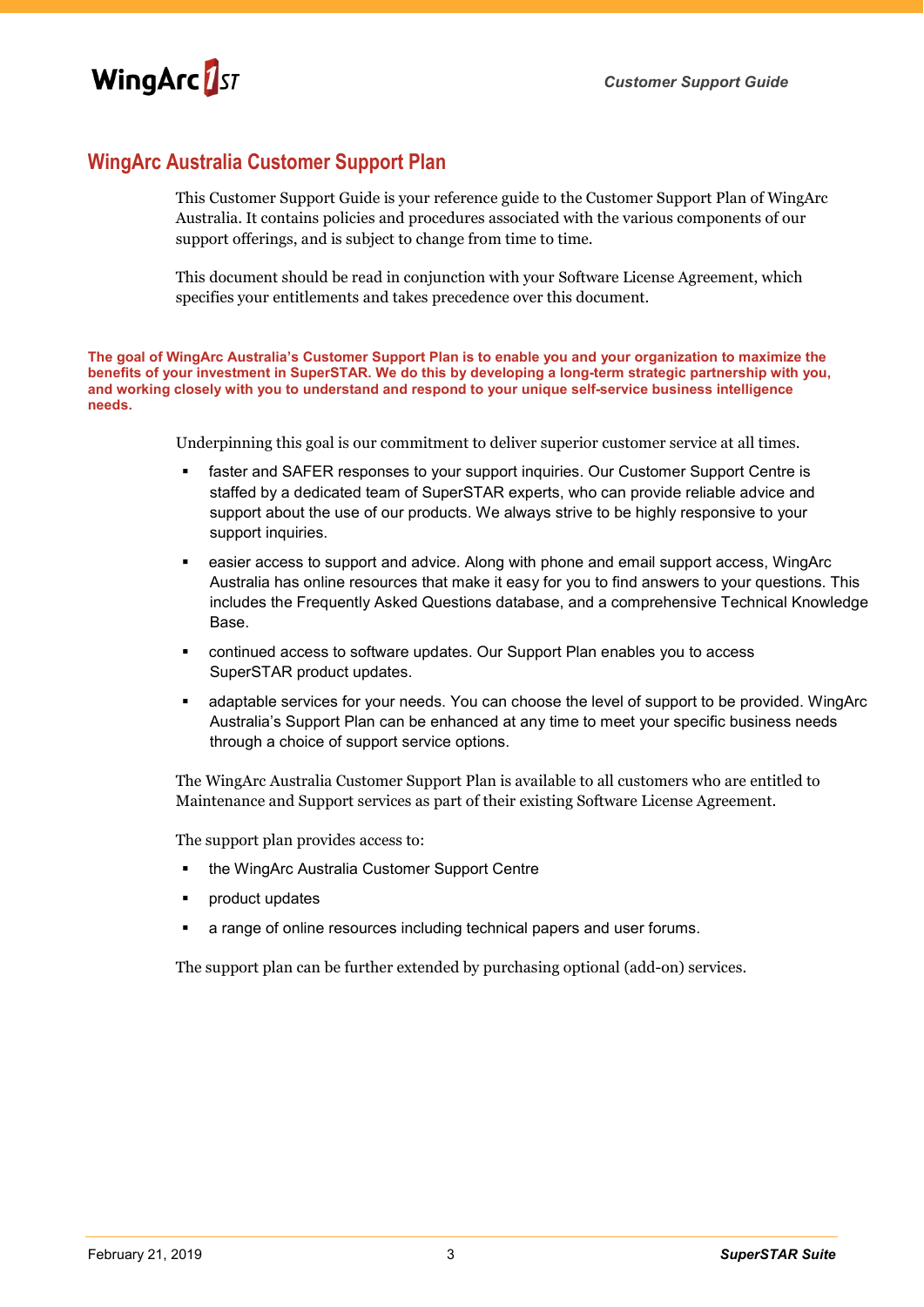

## **WingArc Australia Customer Support Plan**

This Customer Support Guide is your reference guide to the Customer Support Plan of WingArc Australia. It contains policies and procedures associated with the various components of our support offerings, and is subject to change from time to time.

This document should be read in conjunction with your Software License Agreement, which specifies your entitlements and takes precedence over this document.

**The goal of WingArc Australia's Customer Support Plan is to enable you and your organization to maximize the benefits of your investment in SuperSTAR. We do this by developing a long-term strategic partnership with you, and working closely with you to understand and respond to your unique self-service business intelligence needs.**

Underpinning this goal is our commitment to deliver superior customer service at all times.

- faster and SAFER responses to your support inquiries. Our Customer Support Centre is staffed by a dedicated team of SuperSTAR experts, who can provide reliable advice and support about the use of our products. We always strive to be highly responsive to your support inquiries.
- easier access to support and advice. Along with phone and email support access, WingArc Australia has online resources that make it easy for you to find answers to your questions. This includes the Frequently Asked Questions database, and a comprehensive Technical Knowledge Base.
- continued access to software updates. Our Support Plan enables you to access SuperSTAR product updates.
- adaptable services for your needs. You can choose the level of support to be provided. WingArc Australia's Support Plan can be enhanced at any time to meet your specific business needs through a choice of support service options.

The WingArc Australia Customer Support Plan is available to all customers who are entitled to Maintenance and Support services as part of their existing Software License Agreement.

The support plan provides access to:

- the WingArc Australia Customer Support Centre
- product updates
- a range of online resources including technical papers and user forums.

The support plan can be further extended by purchasing optional (add-on) services.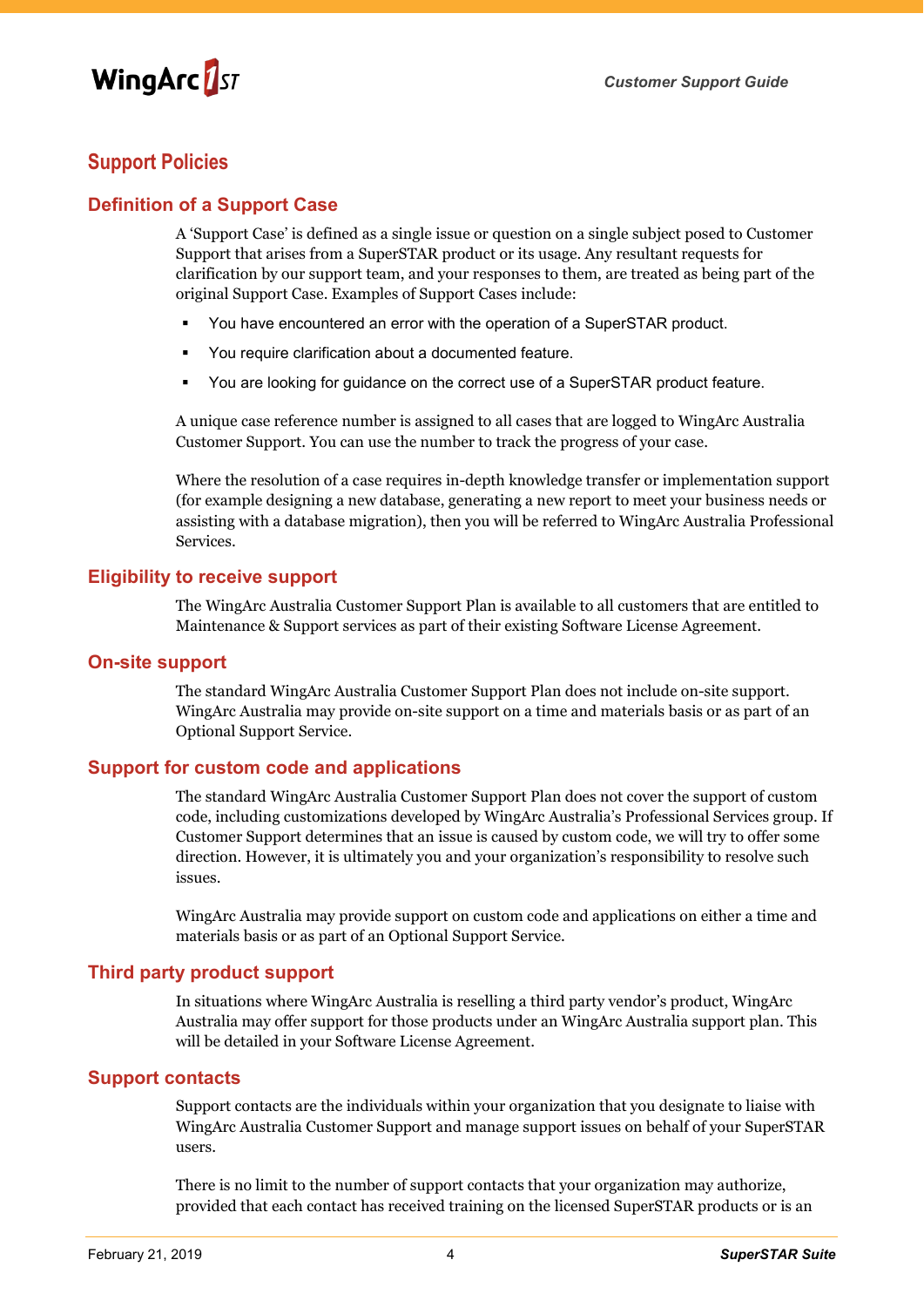

### **Support Policies**

#### **Definition of a Support Case**

A 'Support Case' is defined as a single issue or question on a single subject posed to Customer Support that arises from a SuperSTAR product or its usage. Any resultant requests for clarification by our support team, and your responses to them, are treated as being part of the original Support Case. Examples of Support Cases include:

- You have encountered an error with the operation of a SuperSTAR product.
- You require clarification about a documented feature.
- You are looking for guidance on the correct use of a SuperSTAR product feature.

A unique case reference number is assigned to all cases that are logged to WingArc Australia Customer Support. You can use the number to track the progress of your case.

Where the resolution of a case requires in-depth knowledge transfer or implementation support (for example designing a new database, generating a new report to meet your business needs or assisting with a database migration), then you will be referred to WingArc Australia Professional Services.

#### **Eligibility to receive support**

The WingArc Australia Customer Support Plan is available to all customers that are entitled to Maintenance & Support services as part of their existing Software License Agreement.

#### **On-site support**

The standard WingArc Australia Customer Support Plan does not include on-site support. WingArc Australia may provide on-site support on a time and materials basis or as part of an Optional Support Service.

#### **Support for custom code and applications**

The standard WingArc Australia Customer Support Plan does not cover the support of custom code, including customizations developed by WingArc Australia's Professional Services group. If Customer Support determines that an issue is caused by custom code, we will try to offer some direction. However, it is ultimately you and your organization's responsibility to resolve such issues.

WingArc Australia may provide support on custom code and applications on either a time and materials basis or as part of an Optional Support Service.

#### **Third party product support**

In situations where WingArc Australia is reselling a third party vendor's product, WingArc Australia may offer support for those products under an WingArc Australia support plan. This will be detailed in your Software License Agreement.

#### **Support contacts**

Support contacts are the individuals within your organization that you designate to liaise with WingArc Australia Customer Support and manage support issues on behalf of your SuperSTAR users.

There is no limit to the number of support contacts that your organization may authorize, provided that each contact has received training on the licensed SuperSTAR products or is an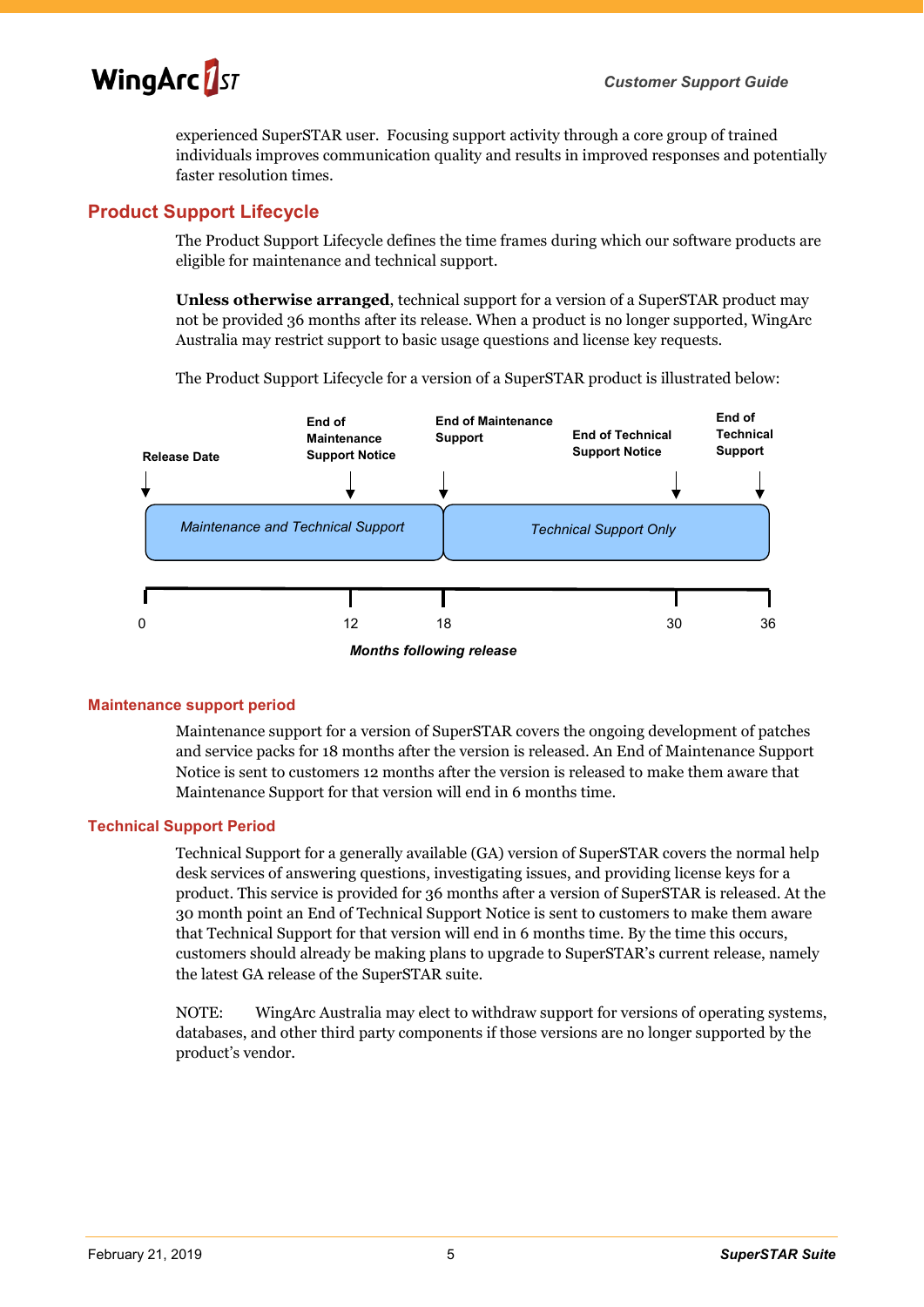

experienced SuperSTAR user. Focusing support activity through a core group of trained individuals improves communication quality and results in improved responses and potentially faster resolution times.

#### <span id="page-5-1"></span>**Product Support Lifecycle**

The Product Support Lifecycle defines the time frames during which our software products are eligible for maintenance and technical support.

**Unless otherwise arranged**, technical support for a version of a SuperSTAR product may not be provided 36 months after its release. When a product is no longer supported, WingArc Australia may restrict support to basic usage questions and license key requests.

The Product Support Lifecycle for a version of a SuperSTAR product is illustrated below:



*Months following release*

#### <span id="page-5-0"></span>**Maintenance support period**

Maintenance support for a version of SuperSTAR covers the ongoing development of patches and service packs for 18 months after the version is released. An End of Maintenance Support Notice is sent to customers 12 months after the version is released to make them aware that Maintenance Support for that version will end in 6 months time.

#### **Technical Support Period**

Technical Support for a generally available (GA) version of SuperSTAR covers the normal help desk services of answering questions, investigating issues, and providing license keys for a product. This service is provided for 36 months after a version of SuperSTAR is released. At the 30 month point an End of Technical Support Notice is sent to customers to make them aware that Technical Support for that version will end in 6 months time. By the time this occurs, customers should already be making plans to upgrade to SuperSTAR's current release, namely the latest GA release of the SuperSTAR suite.

NOTE: WingArc Australia may elect to withdraw support for versions of operating systems, databases, and other third party components if those versions are no longer supported by the product's vendor.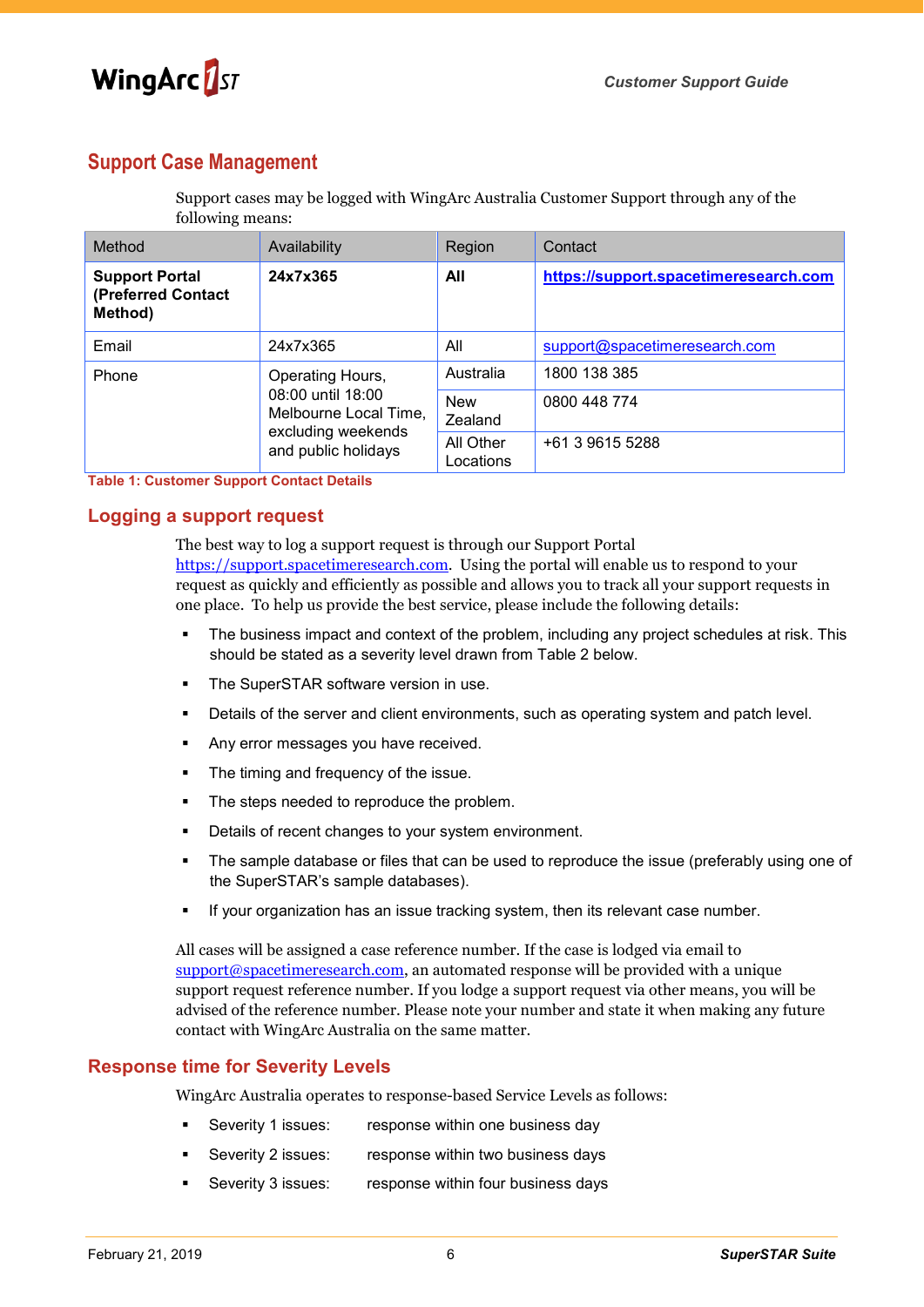

## **Support Case Management**

Support cases may be logged with WingArc Australia Customer Support through any of the following means:

| Method                                                 | Availability                                                                                                | Region                 | Contact                               |
|--------------------------------------------------------|-------------------------------------------------------------------------------------------------------------|------------------------|---------------------------------------|
| <b>Support Portal</b><br>(Preferred Contact<br>Method) | 24x7x365                                                                                                    | All                    | https://support.spacetimeresearch.com |
| Email                                                  | 24x7x365                                                                                                    | All                    | support@spacetimeresearch.com         |
| Phone                                                  | Operating Hours,<br>08:00 until 18:00<br>Melbourne Local Time,<br>excluding weekends<br>and public holidays | Australia              | 1800 138 385                          |
|                                                        |                                                                                                             | <b>New</b><br>Zealand  | 0800 448 774                          |
|                                                        |                                                                                                             | All Other<br>Locations | +61 3 9615 5288                       |

**Table 1: Customer Support Contact Details**

#### **Logging a support request**

The best way to log a support request is through our Support Portal [https://support.spacetimeresearch.com.](https://support.spacetimeresearch.com/) Using the portal will enable us to respond to your request as quickly and efficiently as possible and allows you to track all your support requests in one place. To help us provide the best service, please include the following details:

- The business impact and context of the problem, including any project schedules at risk. This should be stated as a severity level drawn from Table 2 below.
- The SuperSTAR software version in use.
- Details of the server and client environments, such as operating system and patch level.
- Any error messages you have received.
- The timing and frequency of the issue.
- The steps needed to reproduce the problem.
- Details of recent changes to your system environment.
- The sample database or files that can be used to reproduce the issue (preferably using one of the SuperSTAR's sample databases).
- If your organization has an issue tracking system, then its relevant case number.

All cases will be assigned a case reference number. If the case is lodged via email to [support@spacetimeresearch.com,](mailto:support@spacetimeresearch.com) an automated response will be provided with a unique support request reference number. If you lodge a support request via other means, you will be advised of the reference number. Please note your number and state it when making any future contact with WingArc Australia on the same matter.

#### **Response time for Severity Levels**

WingArc Australia operates to response-based Service Levels as follows:

- Severity 1 issues: response within one business day
- Severity 2 issues: response within two business days
- Severity 3 issues: response within four business days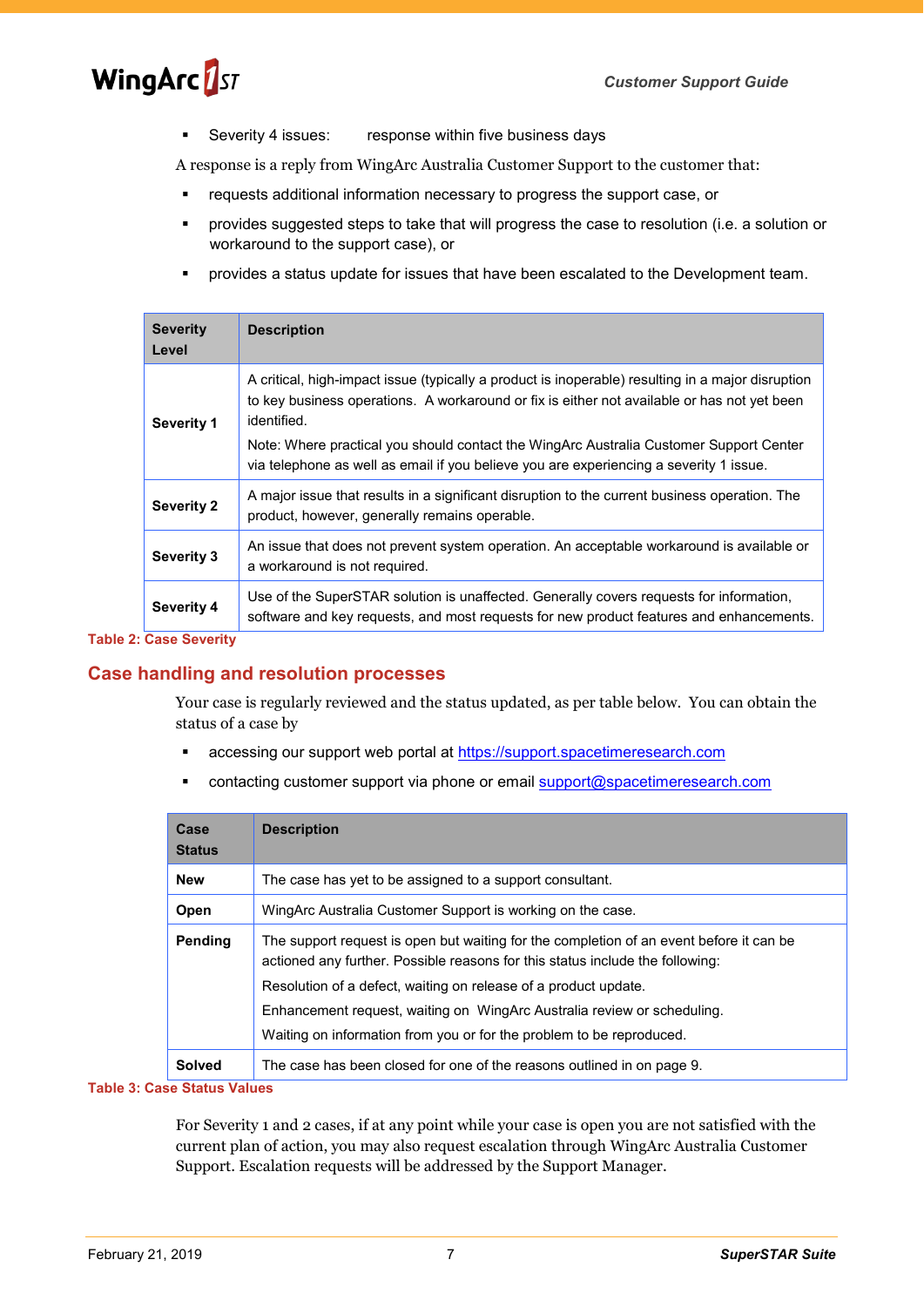Severity 4 issues: response within five business days

A response is a reply from WingArc Australia Customer Support to the customer that:

- requests additional information necessary to progress the support case, or
- provides suggested steps to take that will progress the case to resolution (i.e. a solution or workaround to the support case), or
- provides a status update for issues that have been escalated to the Development team.

| <b>Severity</b><br>Level | <b>Description</b>                                                                                                                                                                                              |  |
|--------------------------|-----------------------------------------------------------------------------------------------------------------------------------------------------------------------------------------------------------------|--|
| <b>Severity 1</b>        | A critical, high-impact issue (typically a product is inoperable) resulting in a major disruption<br>to key business operations. A workaround or fix is either not available or has not yet been<br>identified. |  |
|                          | Note: Where practical you should contact the WingArc Australia Customer Support Center<br>via telephone as well as email if you believe you are experiencing a severity 1 issue.                                |  |
| <b>Severity 2</b>        | A major issue that results in a significant disruption to the current business operation. The<br>product, however, generally remains operable.                                                                  |  |
| <b>Severity 3</b>        | An issue that does not prevent system operation. An acceptable workaround is available or<br>a workaround is not required.                                                                                      |  |
| <b>Severity 4</b>        | Use of the SuperSTAR solution is unaffected. Generally covers requests for information,<br>software and key requests, and most requests for new product features and enhancements.                              |  |

#### **Table 2: Case Severity**

#### **Case handling and resolution processes**

Your case is regularly reviewed and the status updated, as per table below. You can obtain the status of a case by

- **EXEC** accessing our support web portal at [https://support.spacetimeresearch.com](https://support.spacetimeresearch.com/)
- contacting customer support via phone or email [support@spacetimeresearch.com](mailto:support@spacetimeresearch.com)

| Case<br><b>Status</b> | <b>Description</b>                                                                                                                                                                                                                                                                                                                                                                             |
|-----------------------|------------------------------------------------------------------------------------------------------------------------------------------------------------------------------------------------------------------------------------------------------------------------------------------------------------------------------------------------------------------------------------------------|
| <b>New</b>            | The case has yet to be assigned to a support consultant.                                                                                                                                                                                                                                                                                                                                       |
| Open                  | WingArc Australia Customer Support is working on the case.                                                                                                                                                                                                                                                                                                                                     |
| Pending               | The support request is open but waiting for the completion of an event before it can be<br>actioned any further. Possible reasons for this status include the following:<br>Resolution of a defect, waiting on release of a product update.<br>Enhancement request, waiting on WingArc Australia review or scheduling.<br>Waiting on information from you or for the problem to be reproduced. |
| <b>Solved</b>         | The case has been closed for one of the reasons outlined in on page 9.                                                                                                                                                                                                                                                                                                                         |

#### **Table 3: Case Status Values**

For Severity 1 and 2 cases, if at any point while your case is open you are not satisfied with the current plan of action, you may also request escalation through WingArc Australia Customer Support. Escalation requests will be addressed by the Support Manager.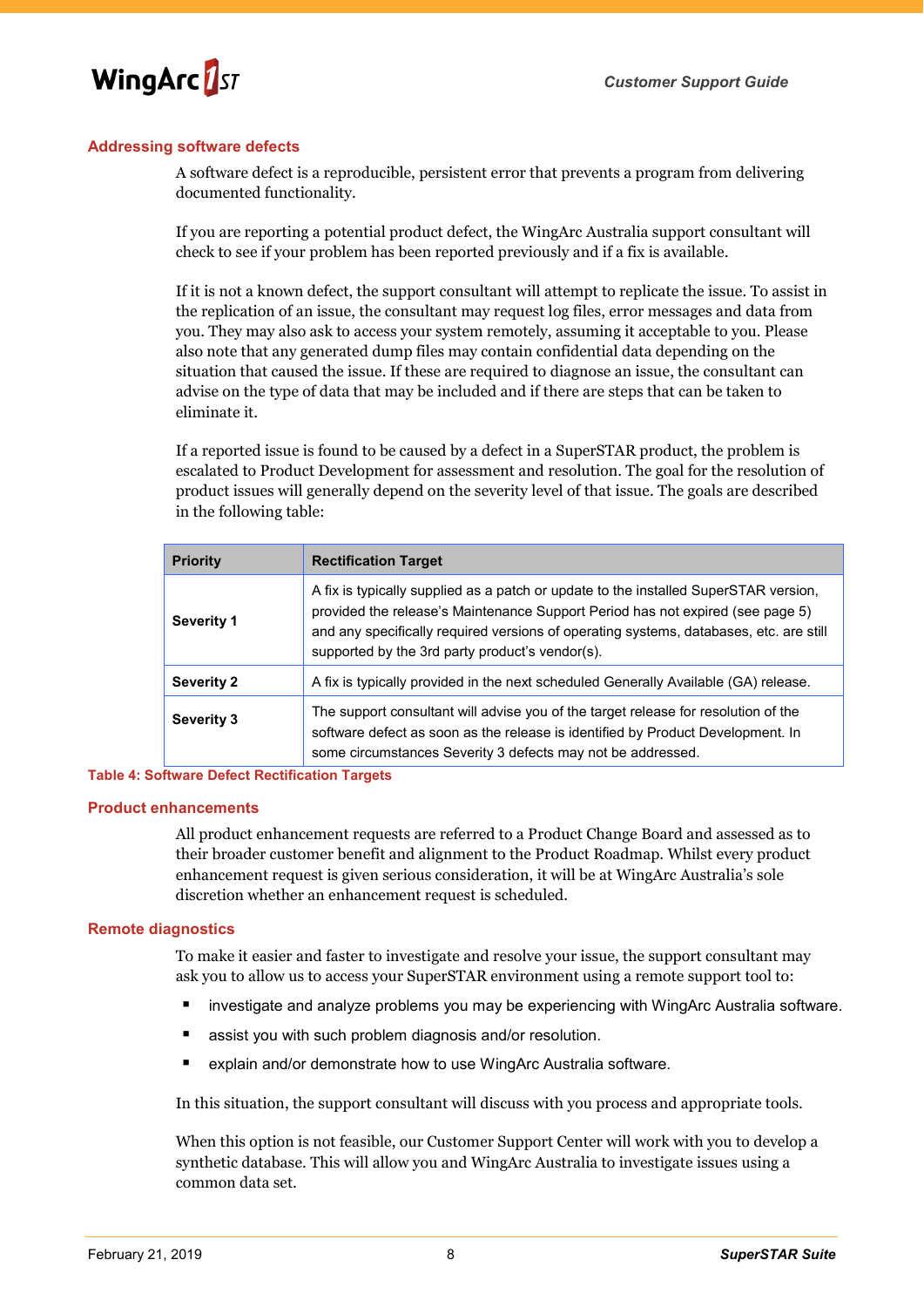

#### **Addressing software defects**

A software defect is a reproducible, persistent error that prevents a program from delivering documented functionality.

If you are reporting a potential product defect, the WingArc Australia support consultant will check to see if your problem has been reported previously and if a fix is available.

If it is not a known defect, the support consultant will attempt to replicate the issue. To assist in the replication of an issue, the consultant may request log files, error messages and data from you. They may also ask to access your system remotely, assuming it acceptable to you. Please also note that any generated dump files may contain confidential data depending on the situation that caused the issue. If these are required to diagnose an issue, the consultant can advise on the type of data that may be included and if there are steps that can be taken to eliminate it.

If a reported issue is found to be caused by a defect in a SuperSTAR product, the problem is escalated to Product Development for assessment and resolution. The goal for the resolution of product issues will generally depend on the severity level of that issue. The goals are described in the following table:

| <b>Priority</b>   | <b>Rectification Target</b>                                                                                                                                                                                                                                                                                         |  |
|-------------------|---------------------------------------------------------------------------------------------------------------------------------------------------------------------------------------------------------------------------------------------------------------------------------------------------------------------|--|
| <b>Severity 1</b> | A fix is typically supplied as a patch or update to the installed SuperSTAR version,<br>provided the release's Maintenance Support Period has not expired (see page 5)<br>and any specifically required versions of operating systems, databases, etc. are still<br>supported by the 3rd party product's vendor(s). |  |
| <b>Severity 2</b> | A fix is typically provided in the next scheduled Generally Available (GA) release.                                                                                                                                                                                                                                 |  |
| Severity 3        | The support consultant will advise you of the target release for resolution of the<br>software defect as soon as the release is identified by Product Development. In<br>some circumstances Severity 3 defects may not be addressed.                                                                                |  |

#### **Table 4: Software Defect Rectification Targets**

#### **Product enhancements**

All product enhancement requests are referred to a Product Change Board and assessed as to their broader customer benefit and alignment to the Product Roadmap. Whilst every product enhancement request is given serious consideration, it will be at WingArc Australia's sole discretion whether an enhancement request is scheduled.

#### **Remote diagnostics**

To make it easier and faster to investigate and resolve your issue, the support consultant may ask you to allow us to access your SuperSTAR environment using a remote support tool to:

- investigate and analyze problems you may be experiencing with WingArc Australia software.
- assist you with such problem diagnosis and/or resolution.
- explain and/or demonstrate how to use WingArc Australia software.

In this situation, the support consultant will discuss with you process and appropriate tools.

When this option is not feasible, our Customer Support Center will work with you to develop a synthetic database. This will allow you and WingArc Australia to investigate issues using a common data set.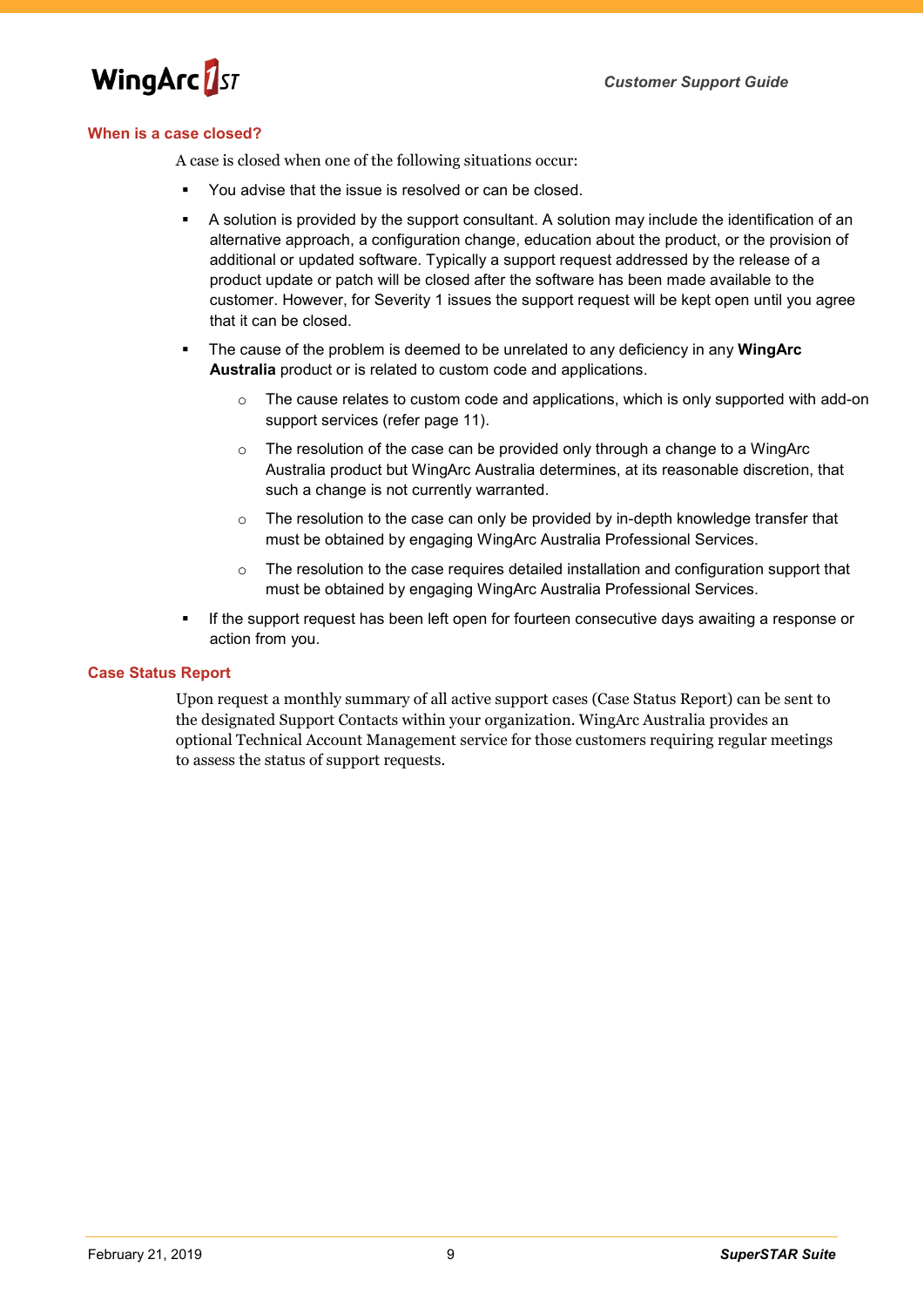

#### <span id="page-9-0"></span>**When is a case closed?**

A case is closed when one of the following situations occur:

- You advise that the issue is resolved or can be closed.
- A solution is provided by the support consultant. A solution may include the identification of an alternative approach, a configuration change, education about the product, or the provision of additional or updated software. Typically a support request addressed by the release of a product update or patch will be closed after the software has been made available to the customer. However, for Severity 1 issues the support request will be kept open until you agree that it can be closed.
- The cause of the problem is deemed to be unrelated to any deficiency in any **WingArc Australia** product or is related to custom code and applications.
	- o The cause relates to custom code and applications, which is only supported with add-on support services (refer page [11\)](#page-11-0).
	- o The resolution of the case can be provided only through a change to a WingArc Australia product but WingArc Australia determines, at its reasonable discretion, that such a change is not currently warranted.
	- $\circ$  The resolution to the case can only be provided by in-depth knowledge transfer that must be obtained by engaging WingArc Australia Professional Services.
	- $\circ$  The resolution to the case requires detailed installation and configuration support that must be obtained by engaging WingArc Australia Professional Services.
- If the support request has been left open for fourteen consecutive days awaiting a response or action from you.

#### **Case Status Report**

Upon request a monthly summary of all active support cases (Case Status Report) can be sent to the designated Support Contacts within your organization. WingArc Australia provides an optional Technical Account Management service for those customers requiring regular meetings to assess the status of support requests.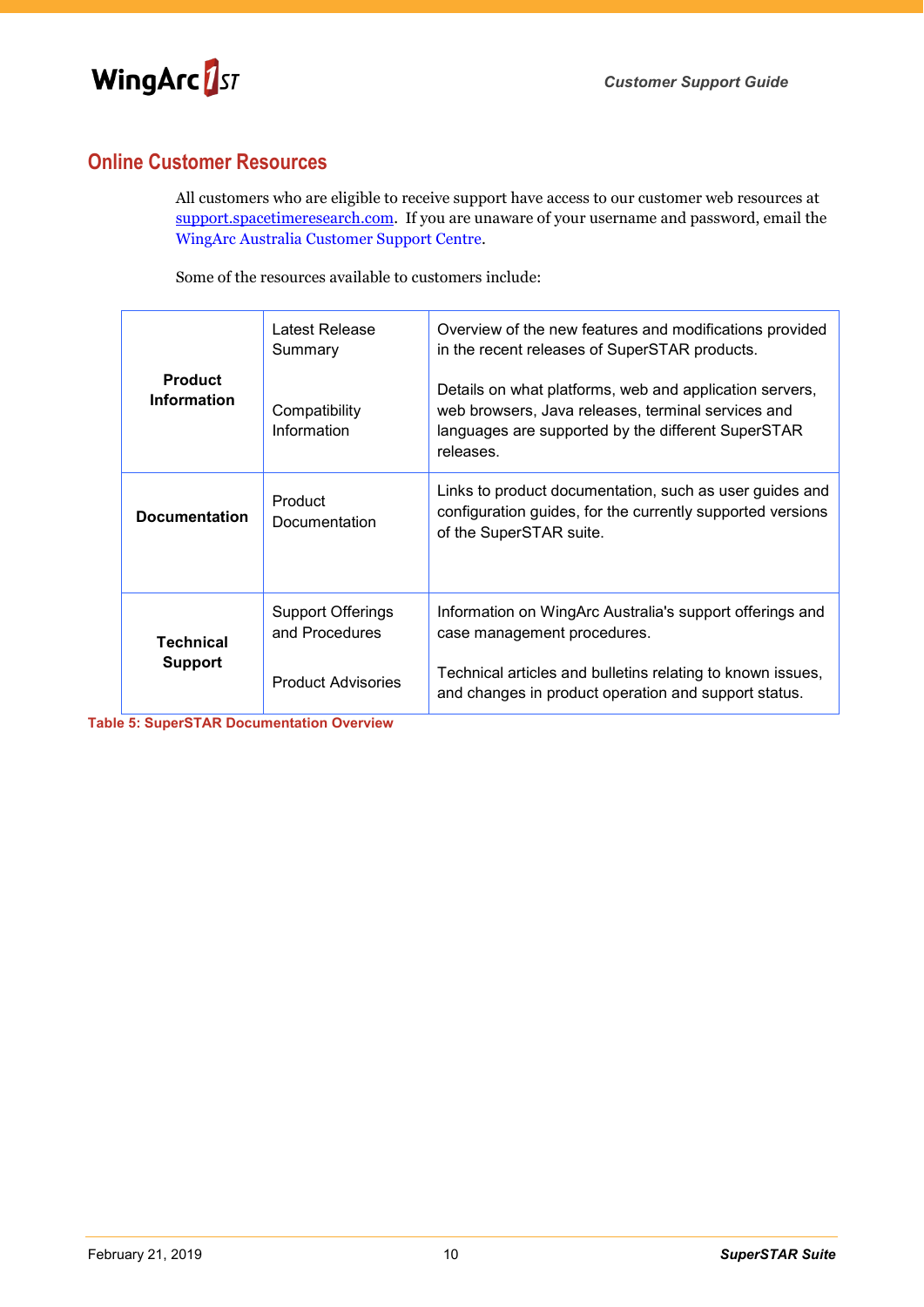

## **Online Customer Resources**

All customers who are eligible to receive support have access to our customer web resources at [support.spacetimeresearch.com.](https://support.spacetimeresearch.com/) If you are unaware of your username and password, email the WingArc Australia [Customer Support Centre](mailto:support@spacetimeresearch.com).

Some of the resources available to customers include:

| <b>Product</b><br><b>Information</b> | Latest Release<br>Summary<br>Compatibility | Overview of the new features and modifications provided<br>in the recent releases of SuperSTAR products.<br>Details on what platforms, web and application servers,<br>web browsers, Java releases, terminal services and |
|--------------------------------------|--------------------------------------------|---------------------------------------------------------------------------------------------------------------------------------------------------------------------------------------------------------------------------|
|                                      | Information                                | languages are supported by the different SuperSTAR<br>releases.                                                                                                                                                           |
| <b>Documentation</b>                 | Product<br>Documentation                   | Links to product documentation, such as user guides and<br>configuration guides, for the currently supported versions<br>of the SuperSTAR suite.                                                                          |
| <b>Technical</b><br><b>Support</b>   | <b>Support Offerings</b><br>and Procedures | Information on WingArc Australia's support offerings and<br>case management procedures.                                                                                                                                   |
|                                      | <b>Product Advisories</b>                  | Technical articles and bulletins relating to known issues,<br>and changes in product operation and support status.                                                                                                        |

**Table 5: SuperSTAR Documentation Overview**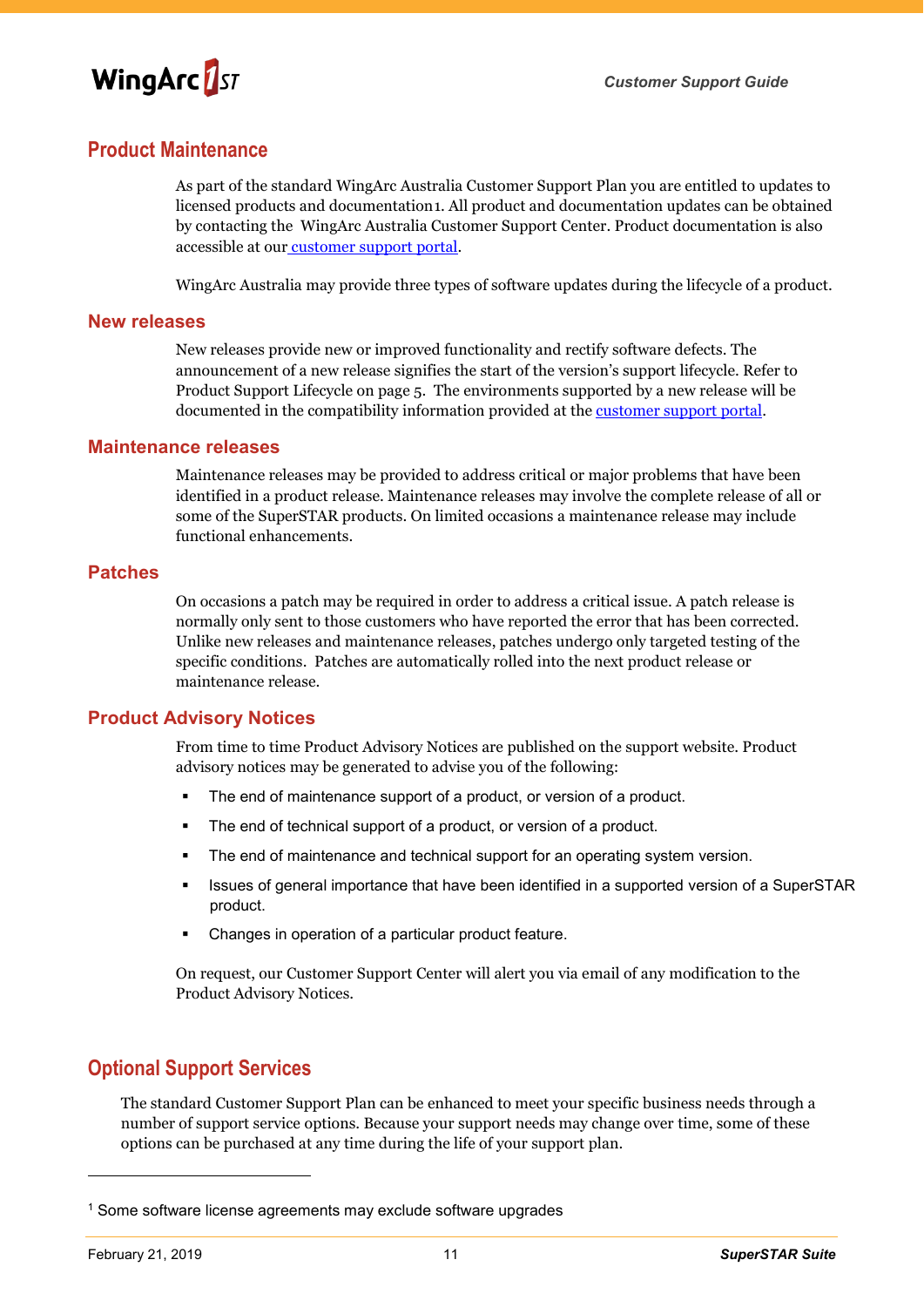

### **Product Maintenance**

As part of the standard WingArc Australia Customer Support Plan you are entitled to updates to licensed products and documentation[1](#page-11-1). All product and documentation updates can be obtained by contacting the [WingArc Australia Customer Support Center.](mailto:support@spacetimeresearch.com) Product documentation is also accessible at our [customer support portal.](https://support.spacetimeresearch.com/)

WingArc Australia may provide three types of software updates during the lifecycle of a product.

#### **New releases**

New releases provide new or improved functionality and rectify software defects. The announcement of a new release signifies the start of the version's support lifecycle. Refer to [Product Support Lifecycle](#page-5-1) on page [5.](#page-5-1) The environments supported by a new release will be documented in the compatibility information provided at the [customer support portal.](https://support.spacetimeresearch.com/)

#### **Maintenance releases**

Maintenance releases may be provided to address critical or major problems that have been identified in a product release. Maintenance releases may involve the complete release of all or some of the SuperSTAR products. On limited occasions a maintenance release may include functional enhancements.

#### **Patches**

On occasions a patch may be required in order to address a critical issue. A patch release is normally only sent to those customers who have reported the error that has been corrected. Unlike new releases and maintenance releases, patches undergo only targeted testing of the specific conditions. Patches are automatically rolled into the next product release or maintenance release.

#### **Product Advisory Notices**

From time to time Product Advisory Notices are published on the support website. Product advisory notices may be generated to advise you of the following:

- The end of maintenance support of a product, or version of a product.
- The end of technical support of a product, or version of a product.
- **The end of maintenance and technical support for an operating system version.**
- Issues of general importance that have been identified in a supported version of a SuperSTAR product.
- Changes in operation of a particular product feature.

On request, our Customer Support Center will alert you via email of any modification to the Product Advisory Notices.

## <span id="page-11-0"></span>**Optional Support Services**

The standard Customer Support Plan can be enhanced to meet your specific business needs through a number of support service options. Because your support needs may change over time, some of these options can be purchased at any time during the life of your support plan.

-

<span id="page-11-1"></span><sup>&</sup>lt;sup>1</sup> Some software license agreements may exclude software upgrades